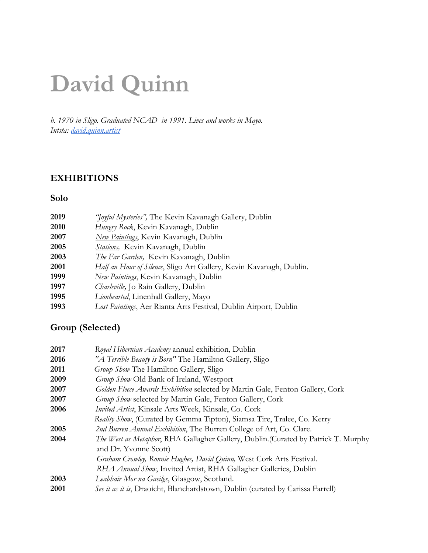# **David Quinn**

*b. 1970 in Sligo. Graduated NCAD in 1991. Lives and works in Mayo. Intsta: [david.quinn.artist](https://www.instagram.com/david.quinn.artist/)*

### **EXHIBITIONS**

#### **Solo**

| 2019 | "Joyful Mysteries", The Kevin Kavanagh Gallery, Dublin              |
|------|---------------------------------------------------------------------|
| 2010 | Hungry Rock, Kevin Kavanagh, Dublin                                 |
| 2007 | New Paintings, Kevin Kavanagh, Dublin                               |
| 2005 | <b>Stations</b> , Kevin Kavanagh, Dublin                            |
| 2003 | The Far Garden, Kevin Kavanagh, Dublin                              |
| 2001 | Half an Hour of Silence, Sligo Art Gallery, Kevin Kavanagh, Dublin. |
| 1999 | New Paintings, Kevin Kavanagh, Dublin                               |
| 1997 | Charleville, Jo Rain Gallery, Dublin                                |
| 1995 | Lionhearted, Linenhall Gallery, Mayo                                |
| 1993 | Lost Paintings, Aer Rianta Arts Festival, Dublin Airport, Dublin    |
|      |                                                                     |

#### **Group (Selected)**

| 2017 | Royal Hibernian Academy annual exhibition, Dublin                                  |
|------|------------------------------------------------------------------------------------|
| 2016 | "A Terrible Beauty is Born" The Hamilton Gallery, Sligo                            |
| 2011 | <i>Group Show</i> The Hamilton Gallery, Sligo                                      |
| 2009 | Group Show Old Bank of Ireland, Westport                                           |
| 2007 | Golden Fleece Awards Exhibition selected by Martin Gale, Fenton Gallery, Cork      |
| 2007 | Group Show selected by Martin Gale, Fenton Gallery, Cork                           |
| 2006 | Invited Artist, Kinsale Arts Week, Kinsale, Co. Cork                               |
|      | Reality Show, (Curated by Gemma Tipton), Siamsa Tire, Tralee, Co. Kerry            |
| 2005 | 2nd Burren Annual Exhibition, The Burren College of Art, Co. Clare.                |
| 2004 | The West as Metaphor, RHA Gallagher Gallery, Dublin. (Curated by Patrick T. Murphy |
|      | and Dr. Yvonne Scott)                                                              |
|      | Graham Crowley, Ronnie Hughes, David Quinn, West Cork Arts Festival.               |
|      | RHA Annual Show, Invited Artist, RHA Gallagher Galleries, Dublin                   |
| 2003 | Leabhair Mor na Gaeilge, Glasgow, Scotland.                                        |
| 2001 | See it as it is, Draoicht, Blanchardstown, Dublin (curated by Carissa Farrell)     |
|      |                                                                                    |